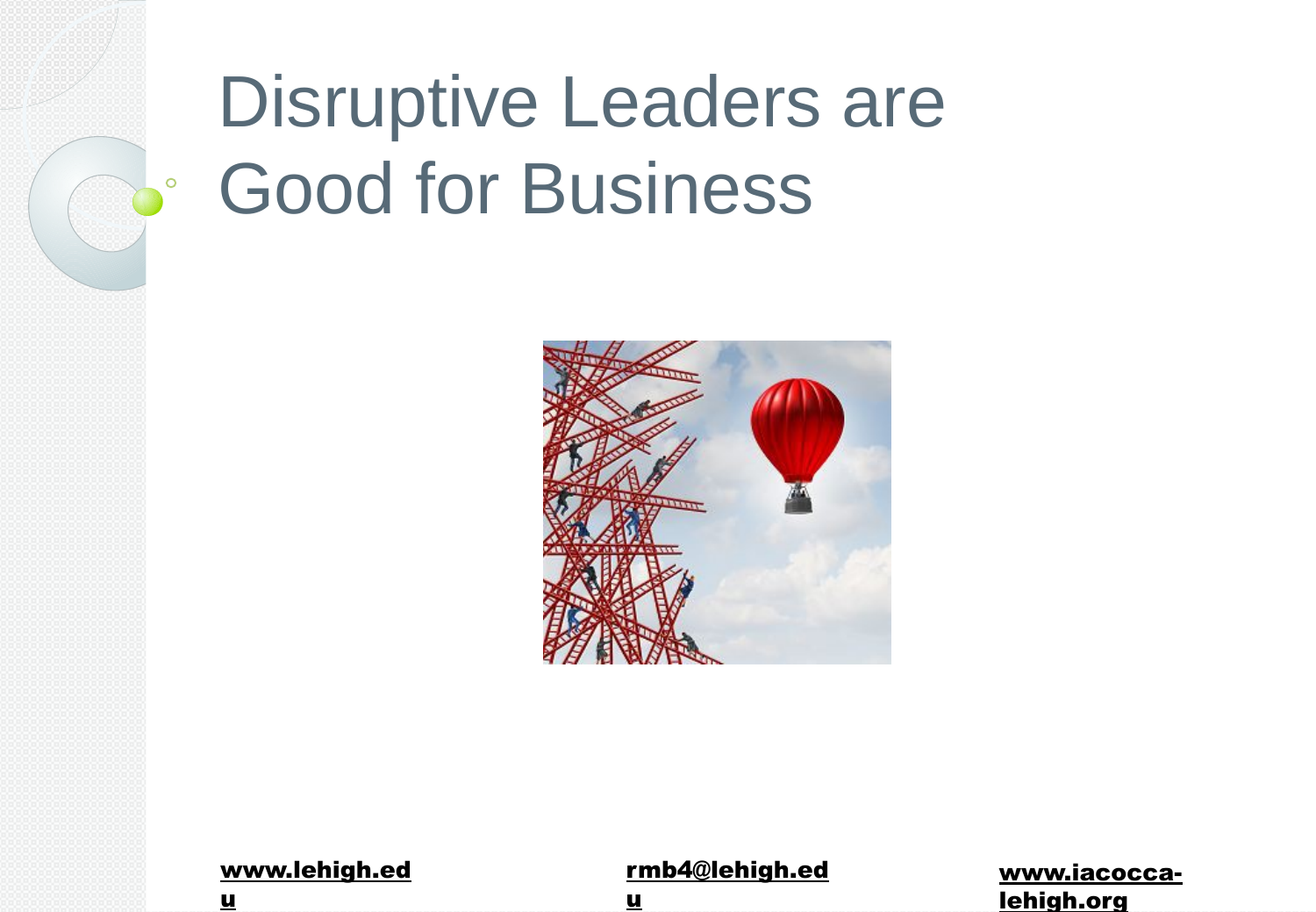## Disruptive Leaders are Good for Business



| www.lehigh.ed |  |
|---------------|--|
|               |  |

u

 $\circ$ 

#### rmb4@lehigh.ed

www.iacoccalehigh.org

u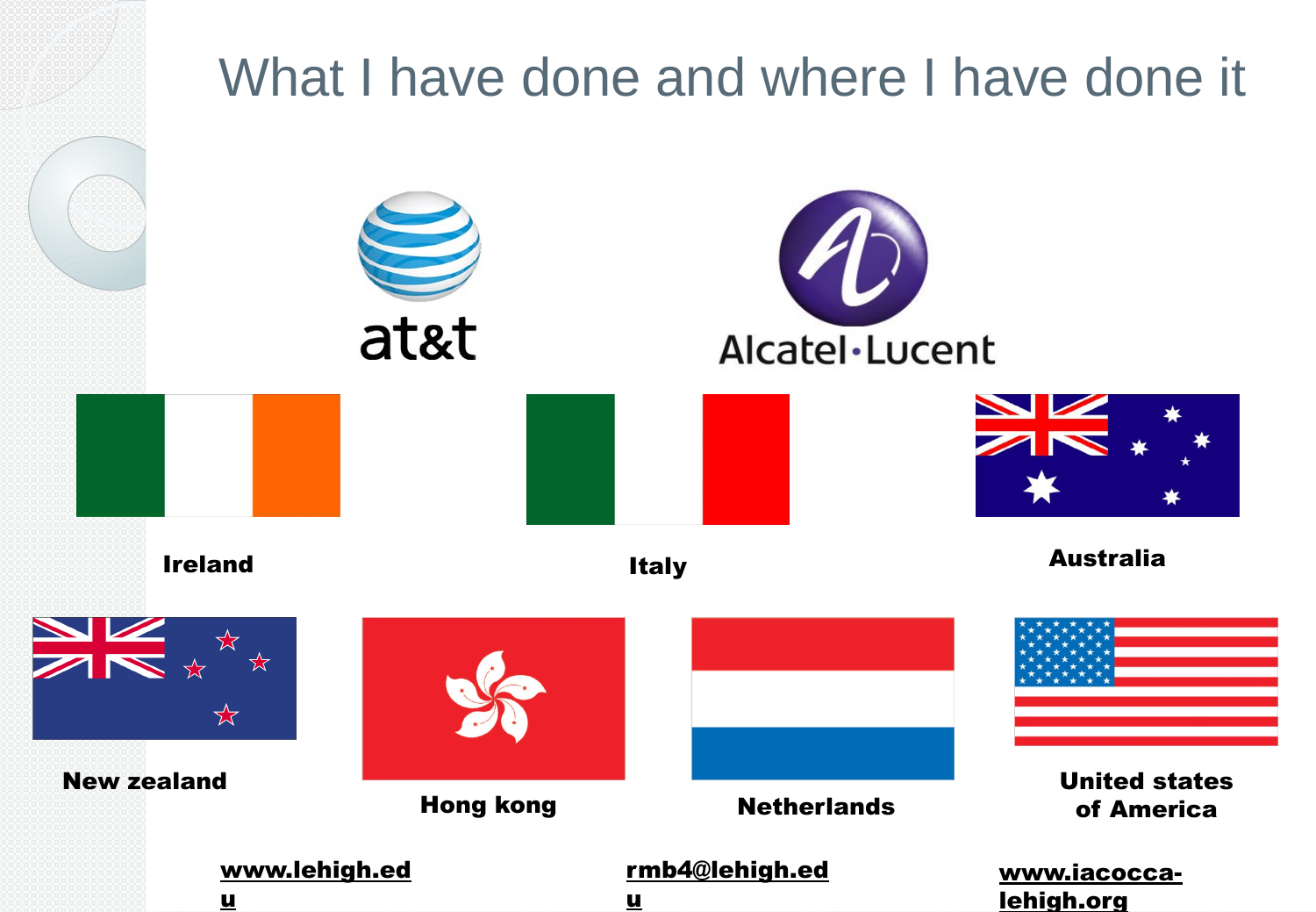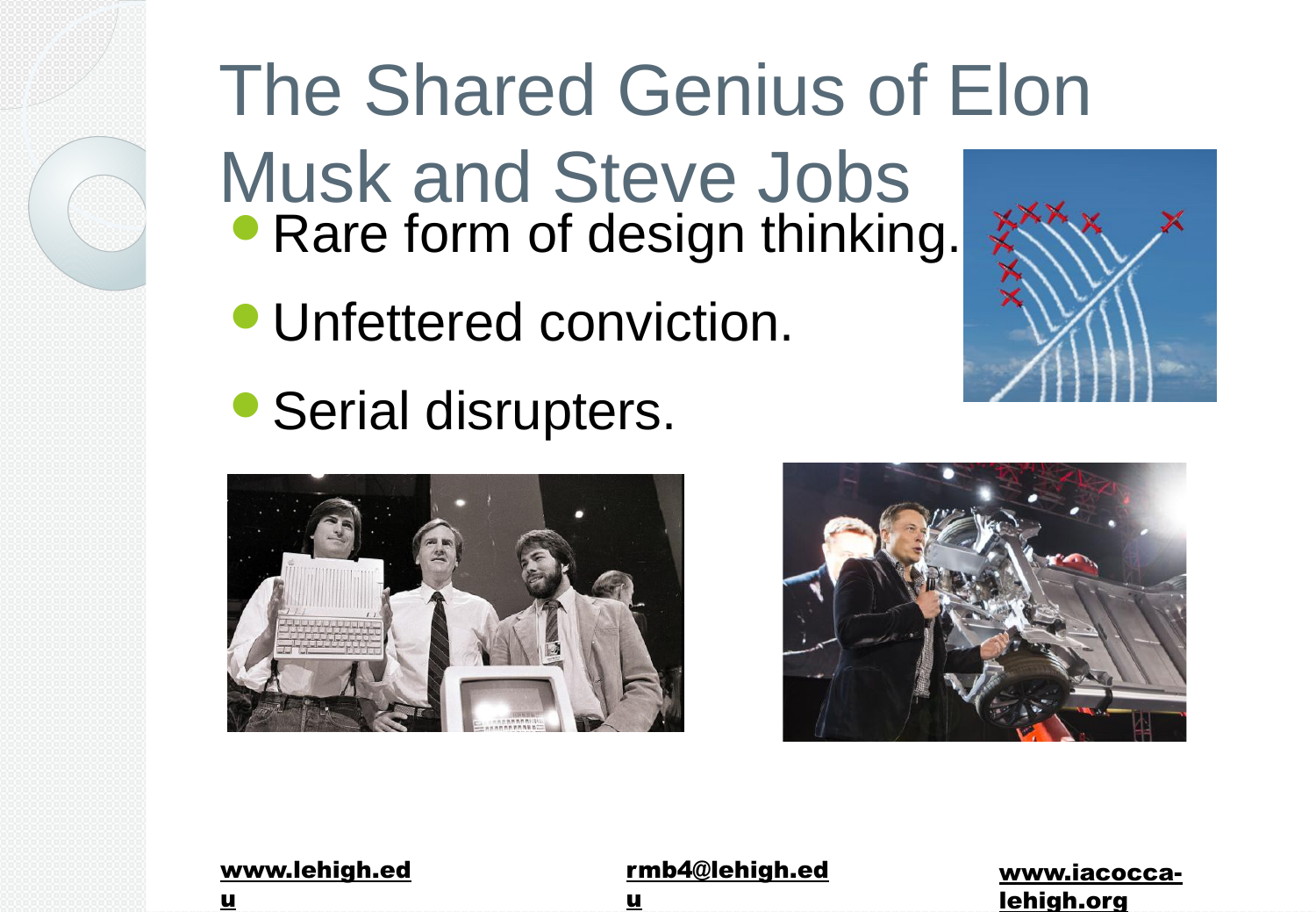## The Shared Genius of Elon

Musk and Steve Jobs • Rare form of design thinking.

- Unfettered conviction.
- Serial disrupters.







| www.lehigh.ed |  |
|---------------|--|
|               |  |

u

#### rmb4@lehigh.ed

u

www.iacoccalehigh.org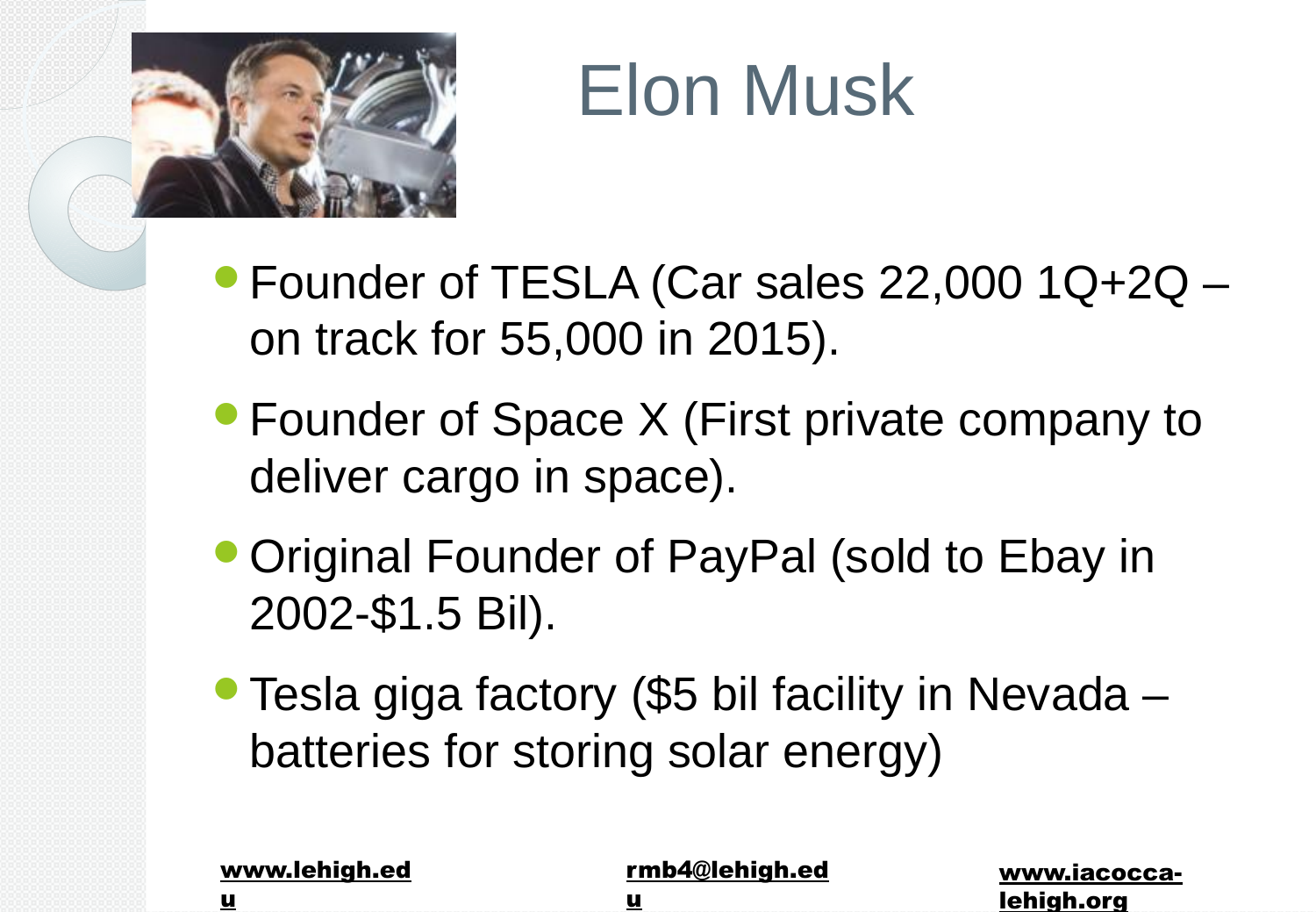

## Elon Musk

- Founder of TESLA (Car sales 22,000 1Q+2Q on track for 55,000 in 2015).
- Founder of Space X (First private company to deliver cargo in space).
- Original Founder of PayPal (sold to Ebay in 2002-\$1.5 Bil).
- Tesla giga factory (\$5 bil facility in Nevada batteries for storing solar energy)

| www.lehigh.ed | rmb4@lehigh.ed | www.iacocca- |
|---------------|----------------|--------------|
|               |                | lehigh.org   |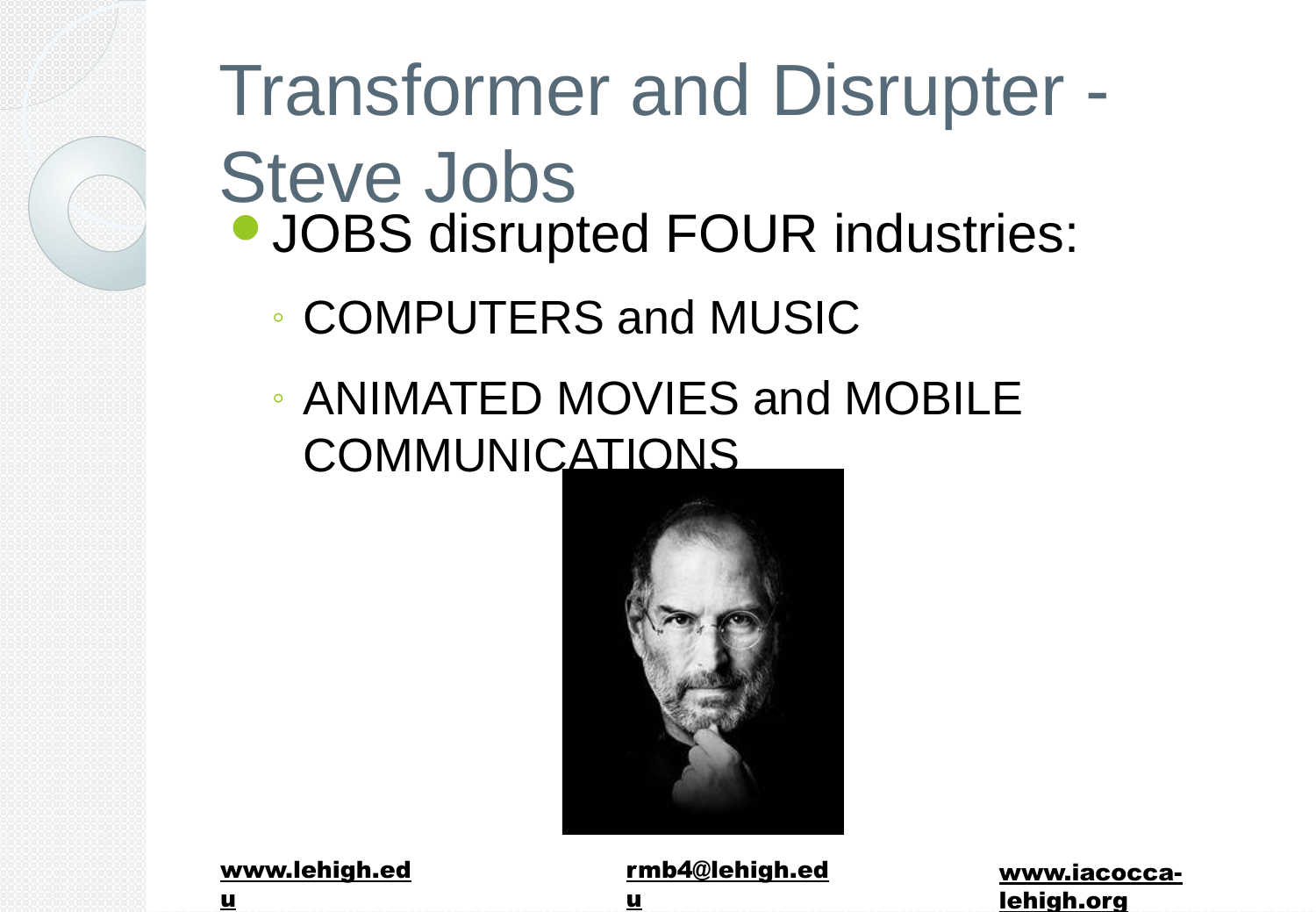### Transformer and Disrupter - Steve Jobs **• JOBS disrupted FOUR industries:**

- COMPUTERS and MUSIC
- ANIMATED MOVIES and MOBILE **COMMUNICATIONS**



www.lehigh.ed

u

rmb4@lehigh.ed u

www.iacoccalehigh.org